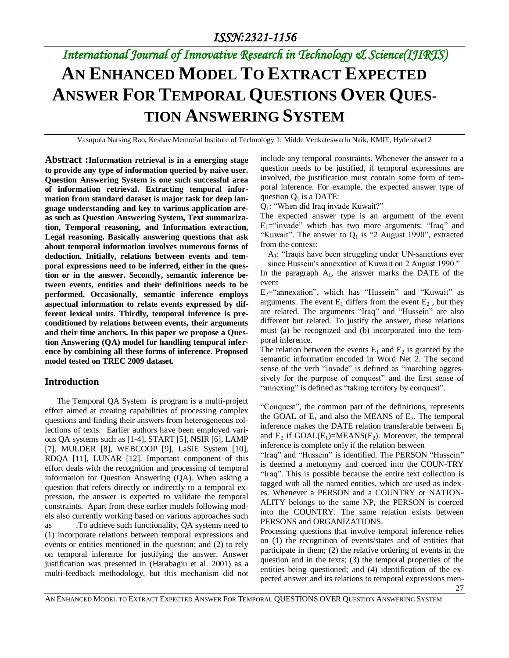# *International Journal of Innovative Research in Technology & Science(IJIRTS)* **AN ENHANCED MODEL TO EXTRACT EXPECTED ANSWER FOR TEMPORAL QUESTIONS OVER QUES-TION ANSWERING SYSTEM**

Vasupula Narsing Rao, Keshav Memorial Institute of Technology 1; Midde Venkateswarlu Naik, KMIT, Hyderabad 2

**Abstract :Information retrieval is in a emerging stage to provide any type of information queried by naive user. Question Answering System is one such successful area of information retrieval. Extracting temporal information from standard dataset is major task for deep language understanding and key to various application areas such as Question Answering System, Text summarization, Temporal reasoning, and Information extraction, Legal reasoning. Basically answering questions that ask about temporal information involves numerous forms of deduction. Initially, relations between events and temporal expressions need to be inferred, either in the question or in the answer. Secondly, semantic inference between events, entities and their definitions needs to be performed. Occasionally, semantic inference employs aspectual information to relate events expressed by different lexical units. Thirdly, temporal inference is preconditioned by relations between events, their arguments and their time anchors. In this paper we propose a Question Answering (QA) model for handling temporal inference by combining all these forms of inference. Proposed model tested on TREC 2009 dataset.**

### **Introduction**

The Temporal QA System is program is a multi-project effort aimed at creating capabilities of processing complex questions and finding their answers from heterogeneous collections of texts. Earlier authors have been employed various QA systems such as [1-4], START [5], NSIR [6], LAMP [7], MULDER [8], WEBCOOP [9], LaSiE System [10], RDQA [11], LUNAR [12]. Important component of this effort deals with the recognition and processing of temporal information for Question Answering (QA). When asking a question that refers directly or indirectly to a temporal expression, the answer is expected to validate the temporal constraints. Apart from these earlier models following models also currently working based on various approaches such as .To achieve such functionality, QA systems need to (1) incorporate relations between temporal expressions and events or entities mentioned in the question; and (2) to rely on temporal inference for justifying the answer. Answer justification was presented in (Harabagiu et al. 2001) as a multi-feedback methodology, but this mechanism did not include any temporal constraints. Whenever the answer to a question needs to be justified, if temporal expressions are involved, the justification must contain some form of temporal inference. For example, the expected answer type of question  $Q_1$  is a DATE:

Q1: "When did Iraq invade Kuwait?"

The expected answer type is an argument of the event  $E_1$ = "invade" which has two more arguments: "Iraq" and "Kuwait". The answer to  $Q_1$  is "2 August 1990", extracted from the context:

A1: "Iraqis have been struggling under UN-sanctions ever since Hussein's annexation of Kuwait on 2 August 1990."

In the paragraph  $A_1$ , the answer marks the DATE of the event

 $E_2$ ="annexation", which has "Hussein" and "Kuwait" as arguments. The event  $E_1$  differs from the event  $E_2$ , but they are related. The arguments "Iraq" and "Hussein" are also different but related. To justify the answer, these relations must (a) be recognized and (b) incorporated into the temporal inference.

The relation between the events  $E_1$  and  $E_2$  is granted by the semantic information encoded in Word Net 2. The second sense of the verb "invade" is defined as "marching aggressively for the purpose of conquest" and the first sense of "annexing" is defined as "taking territory by conquest".

"Conquest", the common part of the definitions, represents the GOAL of  $E_1$  and also the MEANS of  $E_2$ . The temporal inference makes the DATE relation transferable between  $E_1$ and  $E_2$  if GOAL( $E_1$ )=MEANS( $E_2$ ). Moreover, the temporal inference is complete only if the relation between

"Iraq" and "Hussein" is identified. The PERSON "Hussein" is deemed a metonymy and coerced into the COUN-TRY "Iraq". This is possible because the entire text collection is tagged with all the named entities, which are used as indexes. Whenever a PERSON and a COUNTRY or NATION-ALITY belongs to the same NP, the PERSON is coerced into the COUNTRY. The same relation exists between PERSONS and ORGANIZATIONS.

Processing questions that involve temporal inference relies on (1) the recognition of events/states and of entities that participate in them; (2) the relative ordering of events in the question and in the texts; (3) the temporal properties of the entities being questioned; and (4) identification of the expected answer and its relations to temporal expressions men-

27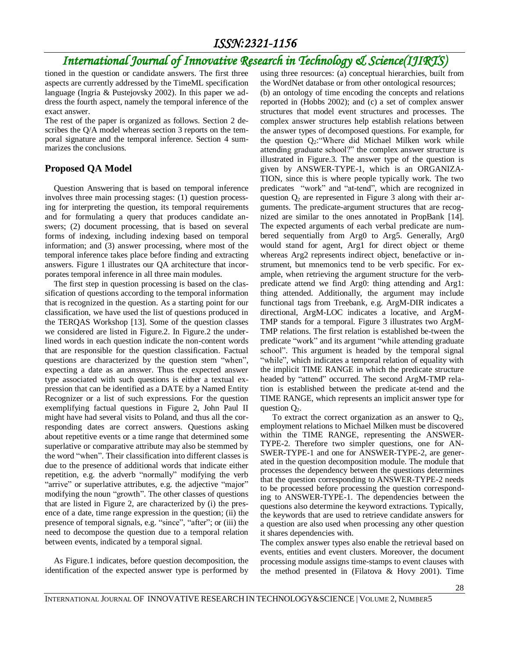## *International Journal of Innovative Research in Technology & Science(IJIRTS)*

tioned in the question or candidate answers. The first three aspects are currently addressed by the TimeML specification language (Ingria & Pustejovsky 2002). In this paper we address the fourth aspect, namely the temporal inference of the exact answer.

The rest of the paper is organized as follows. Section 2 describes the Q/A model whereas section 3 reports on the temporal signature and the temporal inference. Section 4 summarizes the conclusions.

### **Proposed QA Model**

Question Answering that is based on temporal inference involves three main processing stages: (1) question processing for interpreting the question, its temporal requirements and for formulating a query that produces candidate answers; (2) document processing, that is based on several forms of indexing, including indexing based on temporal information; and (3) answer processing, where most of the temporal inference takes place before finding and extracting answers. Figure 1 illustrates our QA architecture that incorporates temporal inference in all three main modules.

The first step in question processing is based on the classification of questions according to the temporal information that is recognized in the question. As a starting point for our classification, we have used the list of questions produced in the TERQAS Workshop [13]. Some of the question classes we considered are listed in Figure.2. In Figure.2 the underlined words in each question indicate the non-content words that are responsible for the question classification. Factual questions are characterized by the question stem "when", expecting a date as an answer. Thus the expected answer type associated with such questions is either a textual expression that can be identified as a DATE by a Named Entity Recognizer or a list of such expressions. For the question exemplifying factual questions in Figure 2, John Paul II might have had several visits to Poland, and thus all the corresponding dates are correct answers. Questions asking about repetitive events or a time range that determined some superlative or comparative attribute may also be stemmed by the word "when". Their classification into different classes is due to the presence of additional words that indicate either repetition, e.g. the adverb "normally" modifying the verb "arrive" or superlative attributes, e.g. the adjective "major" modifying the noun "growth". The other classes of questions that are listed in Figure 2, are characterized by (i) the presence of a date, time range expression in the question; (ii) the presence of temporal signals, e.g. "since", "after"; or (iii) the need to decompose the question due to a temporal relation between events, indicated by a temporal signal.

As Figure.1 indicates, before question decomposition, the identification of the expected answer type is performed by

using three resources: (a) conceptual hierarchies, built from the WordNet database or from other ontological resources; (b) an ontology of time encoding the concepts and relations reported in (Hobbs 2002); and (c) a set of complex answer structures that model event structures and processes. The complex answer structures help establish relations between the answer types of decomposed questions. For example, for the question  $Q_2$ : "Where did Michael Milken work while attending graduate school?" the complex answer structure is illustrated in Figure.3. The answer type of the question is given by ANSWER-TYPE-1, which is an ORGANIZA-TION, since this is where people typically work. The two predicates "work" and "at-tend", which are recognized in question  $Q_2$  are represented in Figure 3 along with their arguments. The predicate-argument structures that are recognized are similar to the ones annotated in PropBank [14]. The expected arguments of each verbal predicate are numbered sequentially from Arg0 to Arg5. Generally, Arg0 would stand for agent, Arg1 for direct object or theme whereas Arg2 represents indirect object, benefactive or instrument, but mnemonics tend to be verb specific. For example, when retrieving the argument structure for the verbpredicate attend we find Arg0: thing attending and Arg1: thing attended. Additionally, the argument may include functional tags from Treebank, e.g. ArgM-DIR indicates a directional, ArgM-LOC indicates a locative, and ArgM-TMP stands for a temporal. Figure 3 illustrates two ArgM-TMP relations. The first relation is established be-tween the predicate "work" and its argument "while attending graduate school". This argument is headed by the temporal signal "while", which indicates a temporal relation of equality with the implicit TIME RANGE in which the predicate structure headed by "attend" occurred. The second ArgM-TMP relation is established between the predicate at-tend and the TIME RANGE, which represents an implicit answer type for question  $Q_2$ .

To extract the correct organization as an answer to  $Q_2$ , employment relations to Michael Milken must be discovered within the TIME RANGE, representing the ANSWER-TYPE-2. Therefore two simpler questions, one for AN-SWER-TYPE-1 and one for ANSWER-TYPE-2, are generated in the question decomposition module. The module that processes the dependency between the questions determines that the question corresponding to ANSWER-TYPE-2 needs to be processed before processing the question corresponding to ANSWER-TYPE-1. The dependencies between the questions also determine the keyword extractions. Typically, the keywords that are used to retrieve candidate answers for a question are also used when processing any other question it shares dependencies with.

The complex answer types also enable the retrieval based on events, entities and event clusters. Moreover, the document processing module assigns time-stamps to event clauses with the method presented in (Filatova & Hovy 2001). Time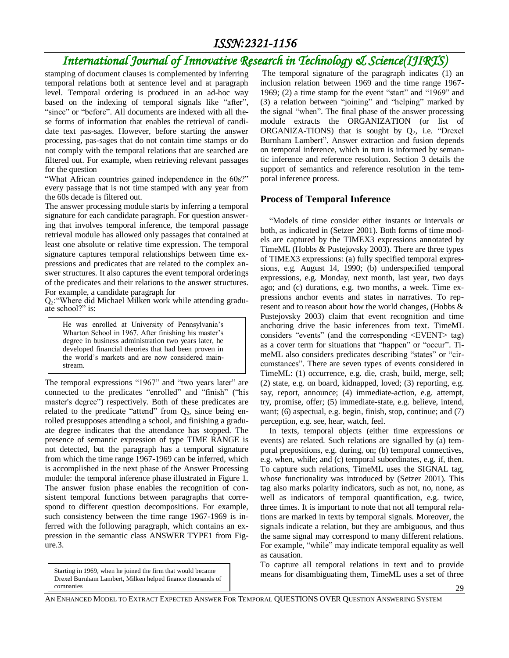## *International Journal of Innovative Research in Technology & Science(IJIRTS)*

stamping of document clauses is complemented by inferring temporal relations both at sentence level and at paragraph level. Temporal ordering is produced in an ad-hoc way based on the indexing of temporal signals like "after", "since" or "before". All documents are indexed with all these forms of information that enables the retrieval of candidate text pas-sages. However, before starting the answer processing, pas-sages that do not contain time stamps or do not comply with the temporal relations that are searched are filtered out. For example, when retrieving relevant passages for the question

"What African countries gained independence in the 60s?" every passage that is not time stamped with any year from the 60s decade is filtered out.

The answer processing module starts by inferring a temporal signature for each candidate paragraph. For question answering that involves temporal inference, the temporal passage retrieval module has allowed only passages that contained at least one absolute or relative time expression. The temporal signature captures temporal relationships between time expressions and predicates that are related to the complex answer structures. It also captures the event temporal orderings of the predicates and their relations to the answer structures. For example, a candidate paragraph for

Q2:"Where did Michael Milken work while attending graduate school?" is:

He was enrolled at University of Pennsylvania's Wharton School in 1967. After finishing his master's degree in business administration two years later, he developed financial theories that had been proven in the world's markets and are now considered mainstream.

The temporal expressions "1967" and "two years later" are connected to the predicates "enrolled" and "finish" ("his master's degree") respectively. Both of these predicates are related to the predicate "attend" from  $Q_2$ , since being enrolled presupposes attending a school, and finishing a graduate degree indicates that the attendance has stopped. The presence of semantic expression of type TIME RANGE is not detected, but the paragraph has a temporal signature from which the time range 1967-1969 can be inferred, which is accomplished in the next phase of the Answer Processing module: the temporal inference phase illustrated in Figure 1. The answer fusion phase enables the recognition of consistent temporal functions between paragraphs that correspond to different question decompositions. For example, such consistency between the time range 1967-1969 is inferred with the following paragraph, which contains an expression in the semantic class ANSWER TYPE1 from Figure.3.

Starting in 1969, when he joined the firm that would became Drexel Burnham Lambert, Milken helped finance thousands of companies

The temporal signature of the paragraph indicates (1) an inclusion relation between 1969 and the time range 1967- 1969; (2) a time stamp for the event "start" and "1969" and (3) a relation between "joining" and "helping" marked by the signal "when". The final phase of the answer processing module extracts the ORGANIZATION (or list of ORGANIZA-TIONS) that is sought by  $Q_2$ , i.e. "Drexel Burnham Lambert". Answer extraction and fusion depends on temporal inference, which in turn is informed by semantic inference and reference resolution. Section 3 details the support of semantics and reference resolution in the temporal inference process.

### **Process of Temporal Inference**

"Models of time consider either instants or intervals or both, as indicated in (Setzer 2001). Both forms of time models are captured by the TIMEX3 expressions annotated by TimeML (Hobbs & Pustejovsky 2003). There are three types of TIMEX3 expressions: (a) fully specified temporal expressions, e.g. August 14, 1990; (b) underspecified temporal expressions, e.g. Monday, next month, last year, two days ago; and (c) durations, e.g. two months, a week. Time expressions anchor events and states in narratives. To represent and to reason about how the world changes, (Hobbs & Pustejovsky 2003) claim that event recognition and time anchoring drive the basic inferences from text. TimeML considers "events" (and the corresponding <EVENT> tag) as a cover term for situations that "happen" or "occur". TimeML also considers predicates describing "states" or "circumstances". There are seven types of events considered in TimeML: (1) occurrence, e.g. die, crash, build, merge, sell; (2) state, e.g. on board, kidnapped, loved; (3) reporting, e.g. say, report, announce; (4) immediate-action, e.g. attempt, try, promise, offer; (5) immediate-state, e.g. believe, intend, want; (6) aspectual, e.g. begin, finish, stop, continue; and (7) perception, e.g. see, hear, watch, feel.

In texts, temporal objects (either time expressions or events) are related. Such relations are signalled by (a) temporal prepositions, e.g. during, on; (b) temporal connectives, e.g. when, while; and (c) temporal subordinates, e.g. if, then. To capture such relations, TimeML uses the SIGNAL tag, whose functionality was introduced by (Setzer 2001). This tag also marks polarity indicators, such as not, no, none, as well as indicators of temporal quantification, e.g. twice, three times. It is important to note that not all temporal relations are marked in texts by temporal signals. Moreover, the signals indicate a relation, but they are ambiguous, and thus the same signal may correspond to many different relations. For example, "while" may indicate temporal equality as well as causation.

To capture all temporal relations in text and to provide means for disambiguating them, TimeML uses a set of three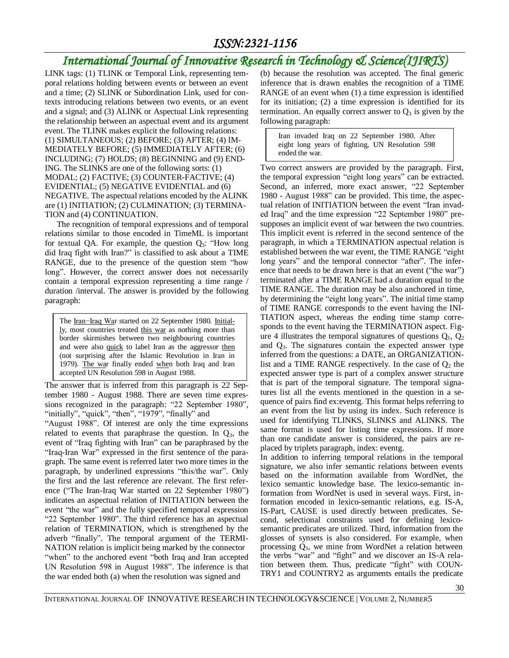## *International Journal of Innovative Research in Technology & Science(IJIRTS)*

LINK tags: (1) TLINK or Temporal Link, representing temporal relations holding between events or between an event and a time; (2) SLINK or Subordination Link, used for contexts introducing relations between two events, or an event and a signal; and (3) ALINK or Aspectual Link representing the relationship between an aspectual event and its argument event. The TLINK makes explicit the following relations: (1) SIMULTANEOUS; (2) BEFORE; (3) AFTER; (4) IM-MEDIATELY BEFORE; (5) IMMEDIATELY AFTER; (6) INCLUDING; (7) HOLDS; (8) BEGINNING and (9) END-ING. The SLINKS are one of the following sorts: (1) MODAL; (2) FACTIVE; (3) COUNTER-FACTIVE; (4) EVIDENTIAL; (5) NEGATIVE EVIDENTIAL and (6) NEGATIVE. The aspectual relations encoded by the ALINK are (1) INITIATION; (2) CULMINATION; (3) TERMINA-TION and (4) CONTINUATION.

The recognition of temporal expressions and of temporal relations similar to those encoded in TimeML is important for textual QA. For example, the question  $Q_3$ : "How long did Iraq fight with Iran?" is classified to ask about a TIME RANGE, due to the presence of the question stem "how long". However, the correct answer does not necessarily contain a temporal expression representing a time range / duration /interval. The answer is provided by the following paragraph:

 $\mathbf{r}$ The Iran-Iraq War started on 22 September 1980. Initially, most countries treated this war as nothing more than border skirmishes between two neighbouring countries and were also quick to label Iran as the aggressor then (not surprising after the Islamic Revolution in Iran in 1979). The war finally ended when both Iraq and Iran accepted UN Resolution 598 in August 1988.

The answer that is inferred from this paragraph is 22 September 1980 - August 1988. There are seven time expressions recognized in the paragraph: "22 September 1980", "initially", "quick", "then", "1979", "finally" and

"August 1988". Of interest are only the time expressions related to events that paraphrase the question. In  $Q_3$ , the event of "Iraq fighting with Iran" can be paraphrased by the "Iraq-Iran War" expressed in the first sentence of the paragraph. The same event is referred later two more times in the paragraph, by underlined expressions "this/the war". Only the first and the last reference are relevant. The first reference ("The Iran-Iraq War started on 22 September 1980") indicates an aspectual relation of INITIATION between the event "the war" and the fully specified temporal expression "22 September 1980". The third reference has an aspectual relation of TERMINATION, which is strengthened by the adverb "finally". The temporal argument of the TERMI-NATION relation is implicit being marked by the connector "when" to the anchored event "both Iraq and Iran accepted UN Resolution 598 in August 1988". The inference is that the war ended both (a) when the resolution was signed and

(b) because the resolution was accepted. The final generic inference that is drawn enables the recognition of a TIME RANGE of an event when (1) a time expression is identified for its initiation; (2) a time expression is identified for its termination. An equally correct answer to  $Q_3$  is given by the following paragraph:

Iran invaded Iraq on 22 September 1980. After eight long years of fighting, UN Resolution 598 ended the war.

Two correct answers are provided by the paragraph. First, the temporal expression "eight long years" can be extracted. Second, an inferred, more exact answer, "22 September 1980 - August 1988" can be provided. This time, the aspectual relation of INITIATION between the event "Iran invaded Iraq" and the time expression "22 September 1980" presupposes an implicit event of war between the two countries. This implicit event is referred in the second sentence of the paragraph, in which a TERMINATION aspectual relation is established between the war event, the TIME RANGE "eight long years" and the temporal connector "after". The inference that needs to be drawn here is that an event ("the war") terminated after a TIME RANGE had a duration equal to the TIME RANGE. The duration may be also anchored in time, by determining the "eight long years". The initial time stamp of TIME RANGE corresponds to the event having the INI-TIATION aspect, whereas the ending time stamp corresponds to the event having the TERMINATION aspect. Figure 4 illustrates the temporal signatures of questions  $Q_1$ ,  $Q_2$ and  $Q_3$ . The signatures contain the expected answer type inferred from the questions: a DATE, an ORGANIZATIONlist and a TIME RANGE respectively. In the case of  $Q_2$  the expected answer type is part of a complex answer structure that is part of the temporal signature. The temporal signatures list all the events mentioned in the question in a sequence of pairs find ex:eventg. This format helps referring to an event from the list by using its index. Such reference is used for identifying TLINKS, SLINKS and ALINKS. The same format is used for listing time expressions. If more than one candidate answer is considered, the pairs are replaced by triplets paragraph, index: eventg.

In addition to inferring temporal relations in the temporal signature, we also infer semantic relations between events based on the information available from WordNet, the lexico semantic knowledge base. The lexico-semantic information from WordNet is used in several ways. First, information encoded in lexico-semantic relations, e.g. IS-A, IS-Part, CAUSE is used directly between predicates. Second, selectional constraints used for defining lexicosemantic predicates are utilized. Third, information from the glosses of synsets is also considered. For example, when processing Q3, we mine from WordNet a relation between the verbs "war" and "fight" and we discover an IS-A relation between them. Thus, predicate "fight" with COUN-TRY1 and COUNTRY2 as arguments entails the predicate

INTERNATIONAL JOURNAL OF INNOVATIVE RESEARCH IN TECHNOLOGY&SCIENCE | VOLUME 2, NUMBER5

30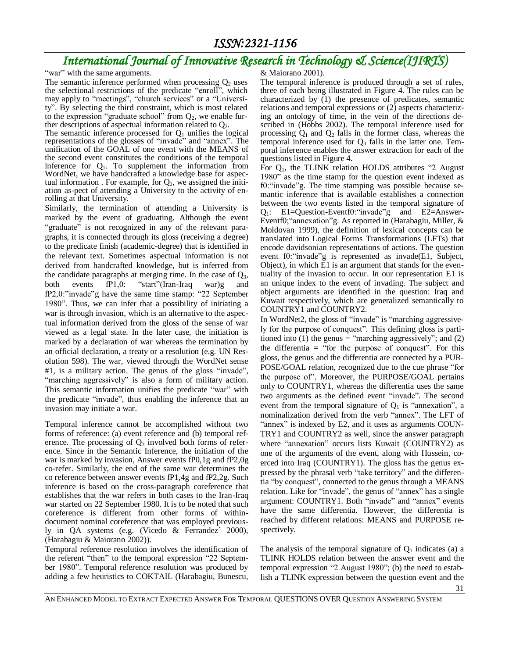## *International Journal of Innovative Research in Technology & Science(IJIRTS)*

"war" with the same arguments.

The semantic inference performed when processing  $Q_2$  uses the selectional restrictions of the predicate "enroll", which may apply to "meetings", "church services" or a "University". By selecting the third constraint, which is most related to the expression "graduate school" from  $Q_2$ , we enable further descriptions of aspectual information related to  $Q_2$ .

The semantic inference processed for  $Q_1$  unifies the logical representations of the glosses of "invade" and "annex". The unification of the GOAL of one event with the MEANS of the second event constitutes the conditions of the temporal inference for  $Q_1$ . To supplement the information from WordNet, we have handcrafted a knowledge base for aspectual information . For example, for  $Q_2$ , we assigned the initiation as-pect of attending a University to the activity of enrolling at that University.

Similarly, the termination of attending a University is marked by the event of graduating. Although the event "graduate" is not recognized in any of the relevant paragraphs, it is connected through its gloss (receiving a degree) to the predicate finish (academic-degree) that is identified in the relevant text. Sometimes aspectual information is not derived from handcrafted knowledge, but is inferred from the candidate paragraphs at merging time. In the case of  $Q_3$ , both events fP1,0: "start"(Iran-Iraq war)g and fP2,0:"invade"g have the same time stamp: "22 September 1980". Thus, we can infer that a possibility of initiating a war is through invasion, which is an alternative to the aspectual information derived from the gloss of the sense of war viewed as a legal state. In the later case, the initiation is marked by a declaration of war whereas the termination by an official declaration, a treaty or a resolution (e.g. UN Resolution 598). The war, viewed through the WordNet sense #1, is a military action. The genus of the gloss "invade", "marching aggressively" is also a form of military action. This semantic information unifies the predicate "war" with the predicate "invade", thus enabling the inference that an invasion may initiate a war.

Temporal inference cannot be accomplished without two forms of reference: (a) event reference and (b) temporal reference. The processing of  $Q_3$  involved both forms of reference. Since in the Semantic Inference, the initiation of the war is marked by invasion, Answer events fP0,1g and fP2,0g co-refer. Similarly, the end of the same war determines the co reference between answer events fP1,4g and fP2,2g. Such inference is based on the cross-paragraph coreference that establishes that the war refers in both cases to the Iran-Iraq war started on 22 September 1980. It is to be noted that such coreference is different from other forms of withindocument nominal coreference that was employed previously in QA systems (e.g. (Vicedo & Ferrandez´ 2000), (Harabagiu & Maiorano 2002)).

Temporal reference resolution involves the identification of the referent "then" to the temporal expression "22 September 1980". Temporal reference resolution was produced by adding a few heuristics to COKTAIL (Harabagiu, Bunescu,

#### & Maiorano 2001).

The temporal inference is produced through a set of rules, three of each being illustrated in Figure 4. The rules can be characterized by (1) the presence of predicates, semantic relations and temporal expressions or (2) aspects characterizing an ontology of time, in the vein of the directions described in (Hobbs 2002). The temporal inference used for processing  $Q_1$  and  $Q_2$  falls in the former class, whereas the temporal inference used for  $Q_3$  falls in the latter one. Temporal inference enables the answer extraction for each of the questions listed in Figure 4.

For  $Q_1$ , the TLINK relation HOLDS attributes "2 August 1980" as the time stamp for the question event indexed as f0:"invade"g. The time stamping was possible because semantic inference that is available establishes a connection between the two events listed in the temporal signature of  $Q_1$ : E1=Question-Eventf0: "invade" g and E2=Answer-Eventf0;"annexation"g. As reported in (Harabagiu, Miller, & Moldovan 1999), the definition of lexical concepts can be translated into Logical Forms Transformations (LFTs) that encode davidsonian representations of actions. The question event f0:"invade"g is represented as invade(E1, Subject, Object), in which E1 is an argument that stands for the eventuality of the invasion to occur. In our representation E1 is an unique index to the event of invading. The subject and object arguments are identified in the question: Iraq and Kuwait respectively, which are generalized semantically to COUNTRY1 and COUNTRY2.

In WordNet2, the gloss of "invade" is "marching aggressively for the purpose of conquest". This defining gloss is partitioned into (1) the genus = "marching aggressively"; and (2) the differentia  $=$  "for the purpose of conquest". For this gloss, the genus and the differentia are connected by a PUR-POSE/GOAL relation, recognized due to the cue phrase "for the purpose of". Moreover, the PURPOSE/GOAL pertains only to COUNTRY1, whereas the differentia uses the same two arguments as the defined event "invade". The second event from the temporal signature of  $Q_1$  is "annexation", a nominalization derived from the verb "annex". The LFT of "annex" is indexed by E2, and it uses as arguments COUN-TRY1 and COUNTRY2 as well, since the answer paragraph where "annexation" occurs lists Kuwait (COUNTRY2) as one of the arguments of the event, along with Hussein, coerced into Iraq (COUNTRY1). The gloss has the genus expressed by the phrasal verb "take territory" and the differentia "by conquest", connected to the genus through a MEANS relation. Like for "invade", the genus of "annex" has a single argument: COUNTRY1. Both "invade" and "annex" events have the same differentia. However, the differentia is reached by different relations: MEANS and PURPOSE respectively.

The analysis of the temporal signature of  $Q_1$  indicates (a) a TLINK HOLDS relation between the answer event and the temporal expression "2 August 1980"; (b) the need to establish a TLINK expression between the question event and the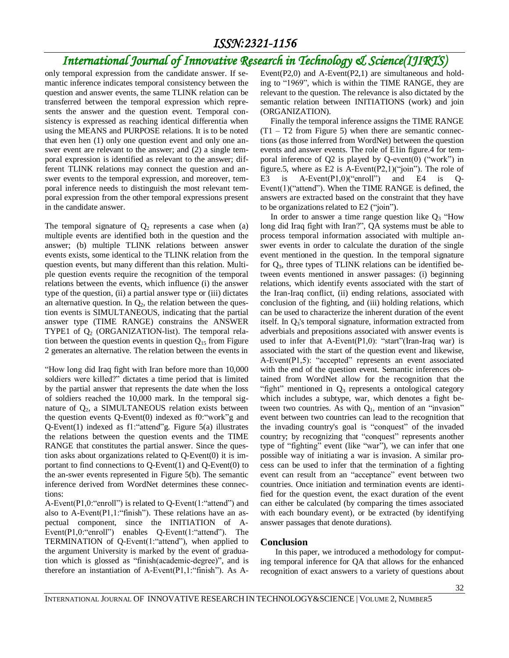## *International Journal of Innovative Research in Technology & Science(IJIRTS)*

only temporal expression from the candidate answer. If semantic inference indicates temporal consistency between the question and answer events, the same TLINK relation can be transferred between the temporal expression which represents the answer and the question event. Temporal consistency is expressed as reaching identical differentia when using the MEANS and PURPOSE relations. It is to be noted that even hen (1) only one question event and only one answer event are relevant to the answer; and (2) a single temporal expression is identified as relevant to the answer; different TLINK relations may connect the question and answer events to the temporal expression, and moreover, temporal inference needs to distinguish the most relevant temporal expression from the other temporal expressions present in the candidate answer.

The temporal signature of  $Q_2$  represents a case when (a) multiple events are identified both in the question and the answer; (b) multiple TLINK relations between answer events exists, some identical to the TLINK relation from the question events, but many different than this relation. Multiple question events require the recognition of the temporal relations between the events, which influence (i) the answer type of the question, (ii) a partial answer type or (iii) dictates an alternative question. In  $Q_2$ , the relation between the question events is SIMULTANEOUS, indicating that the partial answer type (TIME RANGE) constrains the ANSWER TYPE1 of  $Q_2$  (ORGANIZATION-list). The temporal relation between the question events in question  $Q_{15}$  from Figure 2 generates an alternative. The relation between the events in

"How long did Iraq fight with Iran before more than 10,000 soldiers were killed?" dictates a time period that is limited by the partial answer that represents the date when the loss of soldiers reached the 10,000 mark. In the temporal signature of  $Q_2$ , a SIMULTANEOUS relation exists between the question events Q-Event(0) indexed as f0:"work"g and Q-Event(1) indexed as f1:"attend"g. Figure 5(a) illustrates the relations between the question events and the TIME RANGE that constitutes the partial answer. Since the question asks about organizations related to Q-Event(0) it is important to find connections to  $Q$ -Event $(1)$  and  $Q$ -Event $(0)$  to the an-swer events represented in Figure 5(b). The semantic inference derived from WordNet determines these connections:

A-Event(P1,0:"enroll") is related to Q-Event(1:"attend") and also to A-Event( $P1,1$ : "finish"). These relations have an aspectual component, since the INITIATION of A-Event(P1,0:"enroll") enables Q-Event(1:"attend"). The TERMINATION of Q-Event(1:"attend"), when applied to the argument University is marked by the event of graduation which is glossed as "finish(academic-degree)", and is therefore an instantiation of A-Event(P1,1:"finish"). As A-

Event( $P2,0$ ) and A-Event( $P2,1$ ) are simultaneous and holding to "1969", which is within the TIME RANGE, they are relevant to the question. The relevance is also dictated by the semantic relation between INITIATIONS (work) and join (ORGANIZATION).

 Finally the temporal inference assigns the TIME RANGE  $(T1 - T2)$  from Figure 5) when there are semantic connections (as those inferred from WordNet) between the question events and answer events. The role of E1in figure.4 for temporal inference of  $Q2$  is played by  $Q$ -event $(0)$  ("work") in figure.5, where as E2 is A-Event(P2,1)("join"). The role of E3 is A-Event(P1,0)("enroll") and E4 is Q-Event(1)("attend"). When the TIME RANGE is defined, the answers are extracted based on the constraint that they have to be organizations related to E2 ("join").

In order to answer a time range question like  $Q_3$  "How long did Iraq fight with Iran?", QA systems must be able to process temporal information associated with multiple answer events in order to calculate the duration of the single event mentioned in the question. In the temporal signature for  $Q_3$ , three types of TLINK relations can be identified between events mentioned in answer passages: (i) beginning relations, which identify events associated with the start of the Iran-Iraq conflict, (ii) ending relations, associated with conclusion of the fighting, and (iii) holding relations, which can be used to characterize the inherent duration of the event itself. In Q<sub>3</sub>'s temporal signature, information extracted from adverbials and prepositions associated with answer events is used to infer that A-Event(P1,0): "start"(Iran-Iraq war) is associated with the start of the question event and likewise, A-Event(P1,5): "accepted" represents an event associated with the end of the question event. Semantic inferences obtained from WordNet allow for the recognition that the "fight" mentioned in  $Q_3$  represents a ontological category which includes a subtype, war, which denotes a fight between two countries. As with  $Q_1$ , mention of an "invasion" event between two countries can lead to the recognition that the invading country's goal is "conquest" of the invaded country; by recognizing that "conquest" represents another type of "fighting" event (like "war"), we can infer that one possible way of initiating a war is invasion. A similar process can be used to infer that the termination of a fighting event can result from an "acceptance" event between two countries. Once initiation and termination events are identified for the question event, the exact duration of the event can either be calculated (by comparing the times associated with each boundary event), or be extracted (by identifying answer passages that denote durations).

#### **Conclusion**

 In this paper, we introduced a methodology for computing temporal inference for QA that allows for the enhanced recognition of exact answers to a variety of questions about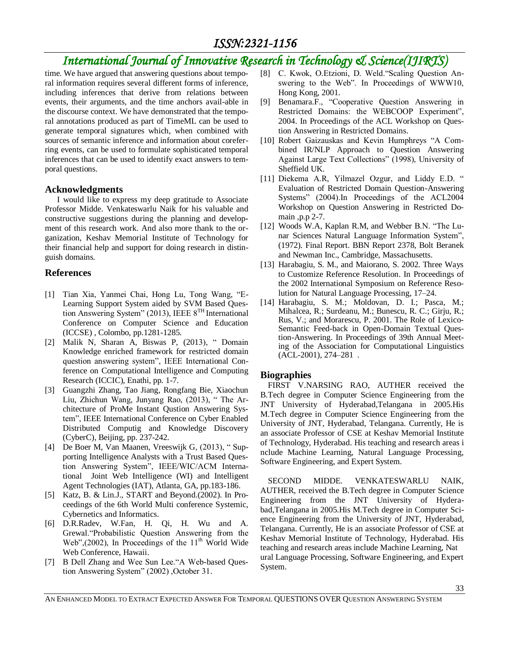## *International Journal of Innovative Research in Technology & Science(IJIRTS)*

time. We have argued that answering questions about temporal information requires several different forms of inference, including inferences that derive from relations between events, their arguments, and the time anchors avail-able in the discourse context. We have demonstrated that the temporal annotations produced as part of TimeML can be used to generate temporal signatures which, when combined with sources of semantic inference and information about coreferring events, can be used to formulate sophisticated temporal inferences that can be used to identify exact answers to temporal questions.

#### **Acknowledgments**

 I would like to express my deep gratitude to Associate Professor Midde. Venkateswarlu Naik for his valuable and constructive suggestions during the planning and development of this research work. And also more thank to the organization, Keshav Memorial Institute of Technology for their financial help and support for doing research in distinguish domains.

#### **References**

- [1] Tian Xia, Yanmei Chai, Hong Lu, Tong Wang, "E-Learning Support System aided by SVM Based Question Answering System" (2013), IEEE  $8^{TH}$  International Conference on Computer Science and Education (ICCSE) , Colombo, pp.1281-1285.
- [2] Malik N, Sharan A, Biswas P, (2013), " Domain Knowledge enriched framework for restricted domain question answering system", IEEE International Conference on Computational Intelligence and Computing Research (ICCIC), Enathi, pp. 1-7.
- [3] Guangzhi Zhang, Tao Jiang, Rongfang Bie, Xiaochun Liu, Zhichun Wang, Junyang Rao, (2013), " The Architecture of ProMe Instant Qustion Answering System", IEEE International Conference on Cyber Enabled Distributed Computig and Knowledge Discovery (CyberC), Beijing, pp. 237-242.
- [4] De Boer M, Van Maanen, Vreeswijk G, (2013), " Supporting Intelligence Analysts with a Trust Based Question Answering System", IEEE/WIC/ACM International Joint Web Intelligence (WI) and Intelligent Agent Technologies (IAT), Atlanta, GA, pp.183-186.
- [5] Katz, B. & Lin.J., START and Beyond.(2002). In Proceedings of the 6th World Multi conference Systemic, Cybernetics and Informatics.
- [6] D.R.Radev, W.Fan, H. Qi, H. Wu and A. Grewal."Probabilistic Question Answering from the Web",(2002), In Proceedings of the  $11<sup>th</sup>$  World Wide Web Conference, Hawaii.
- [7] B Dell Zhang and Wee Sun Lee."A Web-based Question Answering System" (2002) ,October 31.
- [8] C. Kwok, O.Etzioni, D. Weld."Scaling Question Answering to the Web". In Proceedings of WWW10, Hong Kong, 2001.
- [9] Benamara.F., "Cooperative Question Answering in Restricted Domains: the WEBCOOP Experiment", 2004. In Proceedings of the ACL Workshop on Question Answering in Restricted Domains.
- [10] Robert Gaizauskas and Kevin Humphreys "A Combined IR/NLP Approach to Question Answering Against Large Text Collections" (1998), University of Sheffield UK.
- [11] Diekema A.R, Yilmazel Ozgur, and Liddy E.D. " Evaluation of Restricted Domain Question-Answering Systems" (2004).In Proceedings of the ACL2004 Workshop on Question Answering in Restricted Domain ,p.p 2-7.
- [12] Woods W.A, Kaplan R.M, and Webber B.N. "The Lunar Sciences Natural Language Information System", (1972). Final Report. BBN Report 2378, Bolt Beranek and Newman Inc., Cambridge, Massachusetts.
- [13] Harabagiu, S. M., and Maiorano, S. 2002. Three Ways to Customize Reference Resolution. In Proceedings of the 2002 International Symposium on Reference Resolution for Natural Language Processing, 17–24.
- [14] Harabagiu, S. M.; Moldovan, D. I.; Pasca, M.; Mihalcea, R.; Surdeanu, M.; Bunescu, R. C.; Girju, R.; Rus, V.; and Morarescu, P. 2001. The Role of Lexico-Semantic Feed-back in Open-Domain Textual Question-Answering. In Proceedings of 39th Annual Meeting of the Association for Computational Linguistics (ACL-2001), 274–281 .

#### **Biographies**

FIRST V.NARSING RAO, AUTHER received the B.Tech degree in Computer Science Engineering from the JNT University of Hyderabad,Telangana in 2005.His M.Tech degree in Computer Science Engineering from the University of JNT, Hyderabad, Telangana. Currently, He is an associate Professor of CSE at Keshav Memorial Institute of Technology, Hyderabad. His teaching and research areas i nclude Machine Learning, Natural Language Processing, Software Engineering, and Expert System.

SECOND MIDDE. VENKATESWARLU NAIK, AUTHER, received the B.Tech degree in Computer Science Engineering from the JNT University of Hyderabad,Telangana in 2005.His M.Tech degree in Computer Science Engineering from the University of JNT, Hyderabad, Telangana. Currently, He is an associate Professor of CSE at Keshav Memorial Institute of Technology, Hyderabad. His teaching and research areas include Machine Learning, Nat ural Language Processing, Software Engineering, and Expert System.

AN ENHANCED MODEL TO EXTRACT EXPECTED ANSWER FOR TEMPORAL QUESTIONS OVER QUESTION ANSWERING SYSTEM